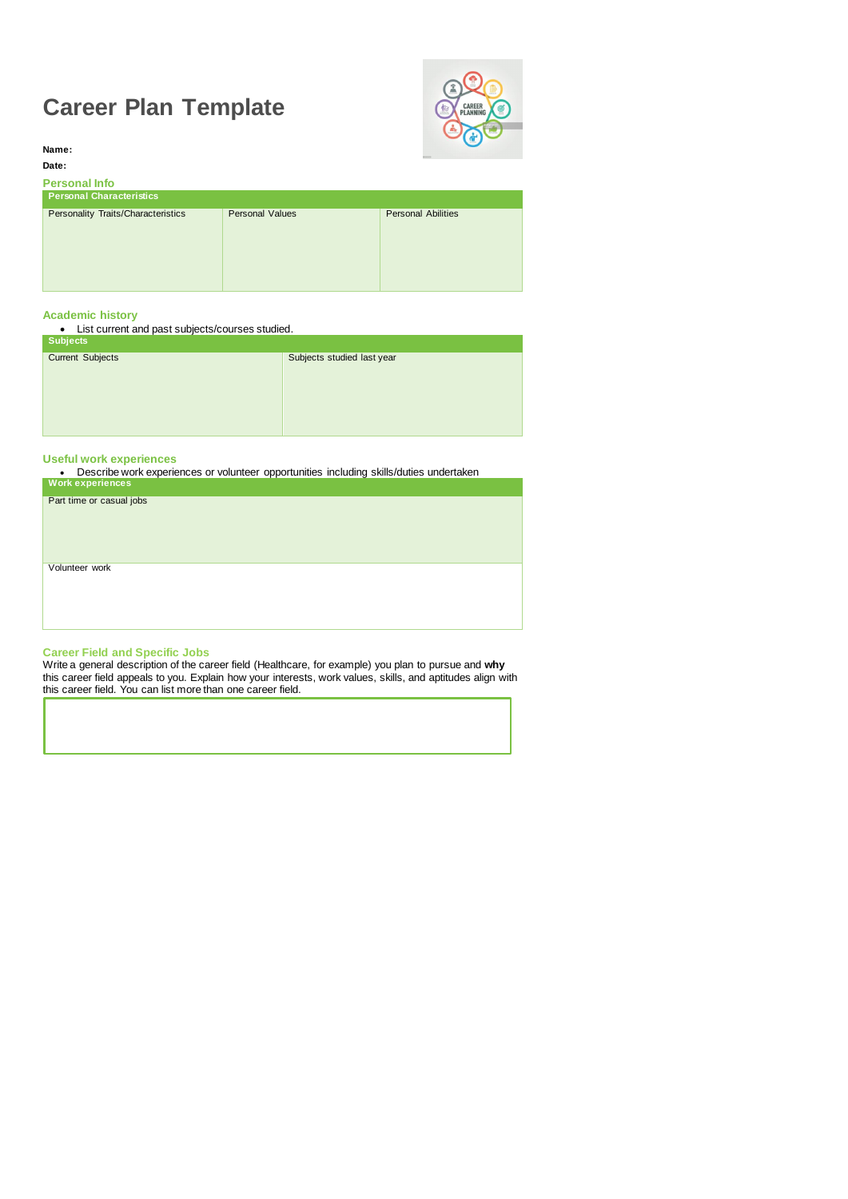# **Career Plan Template**



**Name: Date:**

# **Personal Info**

| <b>Personal Characteristics</b>           |                        |                           |
|-------------------------------------------|------------------------|---------------------------|
| <b>Personality Traits/Characteristics</b> | <b>Personal Values</b> | <b>Personal Abilities</b> |
|                                           |                        |                           |
|                                           |                        |                           |
|                                           |                        |                           |
|                                           |                        |                           |
|                                           |                        |                           |

| <b>Subjects</b>         |                            |
|-------------------------|----------------------------|
| <b>Current Subjects</b> | Subjects studied last year |
|                         |                            |
|                         |                            |
|                         |                            |
|                         |                            |
|                         |                            |

## **Academic history**

List current and past subjects/courses studied.

# **Useful work experiences**

Describe work experiences or volunteer opportunities including skills/duties undertaken

| <b>Work experiences</b>  |  |
|--------------------------|--|
| Part time or casual jobs |  |
|                          |  |
|                          |  |
|                          |  |
| Volunteer work           |  |
|                          |  |
|                          |  |
|                          |  |
|                          |  |

### **Career Field and Specific Jobs**

Write a general description of the career field (Healthcare, for example) you plan to pursue and **why**  this career field appeals to you. Explain how your interests, work values, skills, and aptitudes align with this career field. You can list more than one career field.